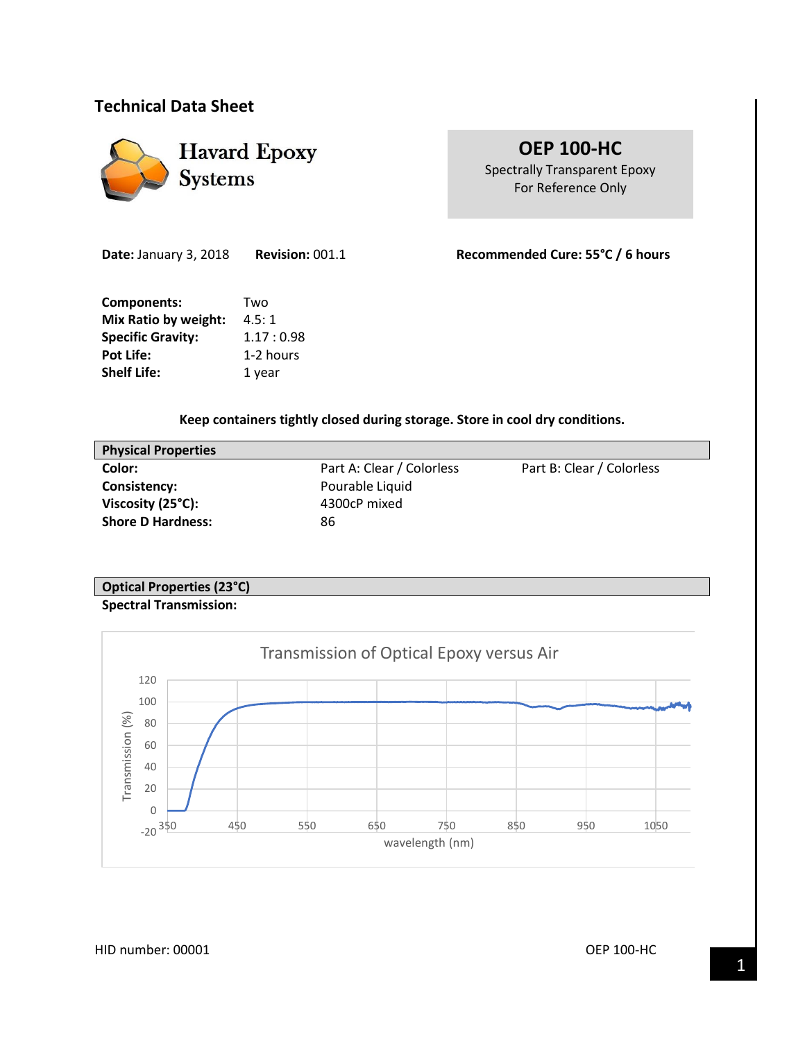# **Technical Data Sheet**



# **OEP 100-HC**

Spectrally Transparent Epoxy For Reference Only

**Date:** January 3, 2018 **Revision:** 001.1 **Recommended Cure: 55°C / 6 hours**

**Components:** Two **Mix Ratio by weight:** 4.5:1 **Specific Gravity:** 1.17: 0.98 Pot Life: 1-2 hours **Shelf Life:** 1 year

**Keep containers tightly closed during storage. Store in cool dry conditions.**

| <b>Physical Properties</b>  |                           |                           |
|-----------------------------|---------------------------|---------------------------|
| Color:                      | Part A: Clear / Colorless | Part B: Clear / Colorless |
| Consistency:                | Pourable Liquid           |                           |
| Viscosity $(25^{\circ}C)$ : | 4300cP mixed              |                           |
| <b>Shore D Hardness:</b>    | 86                        |                           |
|                             |                           |                           |

# **Optical Properties (23°C) Spectral Transmission:**